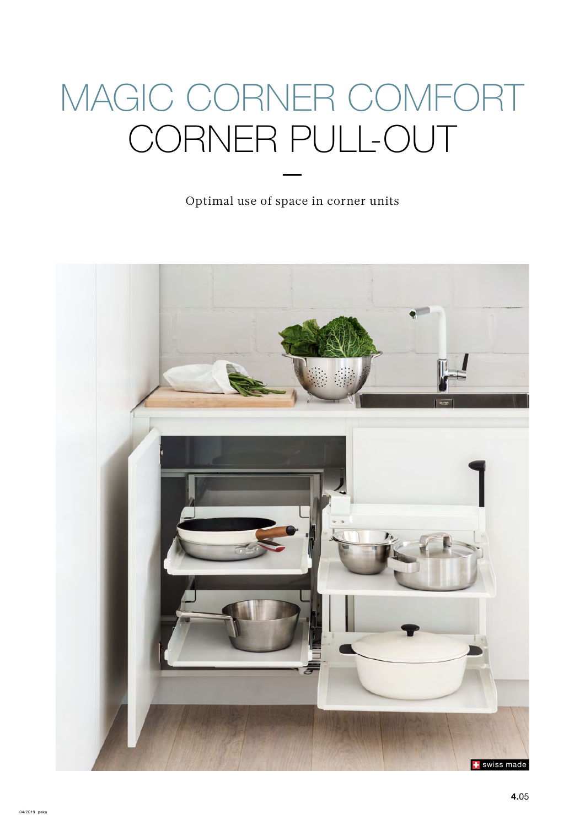# MAGIC CORNER COMFORT CORNER PULL-OUT

Optimal use of space in corner units

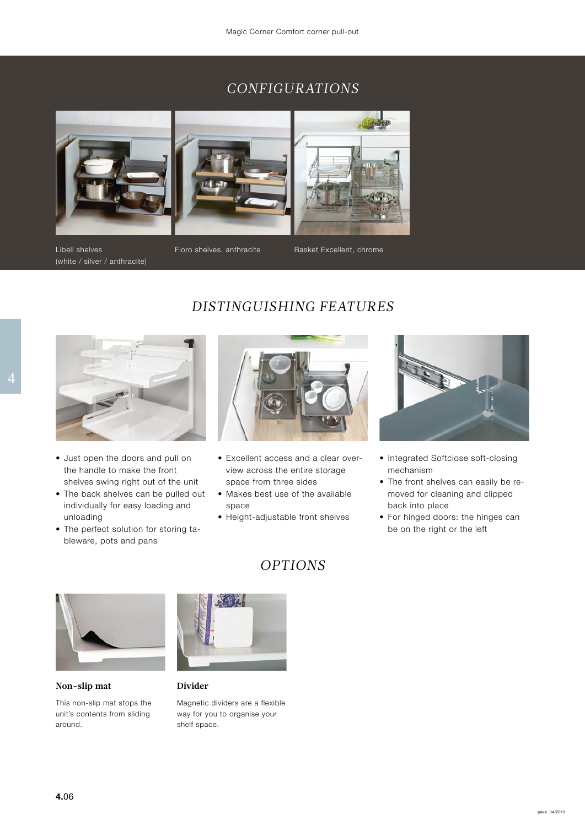## *CONFIGURATIONS*



Libell shelves (white / silver / anthracite)

Fioro shelves, anthracite Basket Excellent, chrome



- Just open the doors and pull on the handle to make the front shelves swing right out of the unit
- The back shelves can be pulled out individually for easy loading and unloading
- The perfect solution for storing tableware, pots and pans



*DISTINGUISHING FEATURES*

- Excellent access and a clear overview across the entire storage space from three sides
- Makes best use of the available space
- Height-adjustable front shelves

*OPTIONS*



- Integrated Softclose soft-closing mechanism
- The front shelves can easily be removed for cleaning and clipped back into place
- For hinged doors: the hinges can be on the right or the left



**Non-slip mat**

This non-slip mat stops the unit's contents from sliding around.



#### **Divider**

Magnetic dividers are a flexible way for you to organise your shelf space.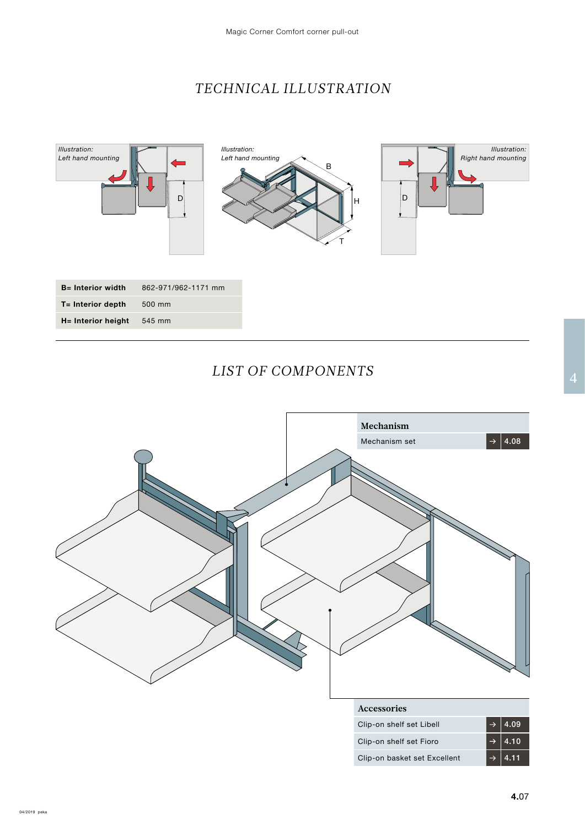# *TECHNICAL ILLUSTRATION*



#### $\frac{2}{4}$ *LIST OF COMPONENTS*

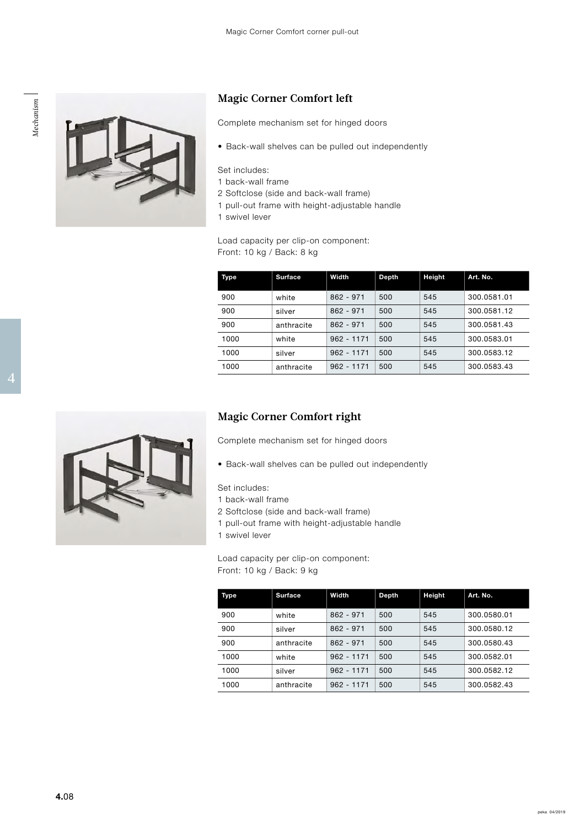



#### **Magic Corner Comfort left**

Complete mechanism set for hinged doors

• Back-wall shelves can be pulled out independently

Set includes:

- 1 back-wall frame
- 2 Softclose (side and back-wall frame)
- 1 pull-out frame with height-adjustable handle
- 1 swivel lever

Load capacity per clip-on component: Front: 10 kg / Back: 8 kg

|  | Type | <b>Surface</b> | Width            | Depth | Height | Art. No.    |
|--|------|----------------|------------------|-------|--------|-------------|
|  | 900  | white          | 862 - 971        | 500   | 545    | 300.0581.01 |
|  | 900  | silver         | 862 - 971        | 500   | 545    | 300.0581.12 |
|  | 900  | anthracite     | 862 - 971        | 500   | 545    | 300.0581.43 |
|  | 1000 | white          | $962 - 1171$ 500 |       | 545    | 300.0583.01 |
|  | 1000 | silver         | $962 - 1171$ 500 |       | 545    | 300.0583.12 |
|  | 1000 | anthracite     | $962 - 1171$ 500 |       | 545    | 300.0583.43 |
|  |      |                |                  |       |        |             |

#### **Magic Corner Comfort right**

Complete mechanism set for hinged doors

• Back-wall shelves can be pulled out independently

Set includes:

- 1 back-wall frame
- 2 Softclose (side and back-wall frame)
- 1 pull-out frame with height-adjustable handle
- 1 swivel lever

Load capacity per clip-on component: Front: 10 kg / Back: 9 kg

| Type | <b>Surface</b> | Width        | Depth | Height | Art. No.    |
|------|----------------|--------------|-------|--------|-------------|
| 900  | white          | $862 - 971$  | 500   | 545    | 300.0580.01 |
| 900  | silver         | $862 - 971$  | 500   | 545    | 300.0580.12 |
| 900  | anthracite     | $862 - 971$  | 500   | 545    | 300.0580.43 |
| 1000 | white          | $962 - 1171$ | 500   | 545    | 300.0582.01 |
| 1000 | silver         | $962 - 1171$ | 500   | 545    | 300.0582.12 |
| 1000 | anthracite     | $962 - 1171$ | 500   | 545    | 300.0582.43 |

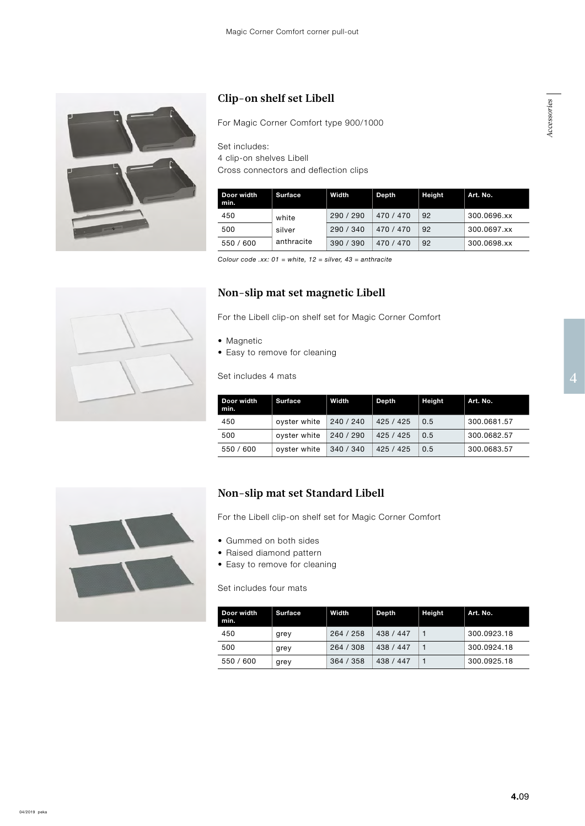

## **Clip-on shelf set Libell**

For Magic Corner Comfort type 900/1000

Set includes: 4 clip-on shelves Libell Cross connectors and deflection clips

| Door width<br>min. | <b>Surface</b>                | Width     | Depth     | Height | Art. No.    |
|--------------------|-------------------------------|-----------|-----------|--------|-------------|
| 450                | white<br>silver<br>anthracite | 290 / 290 | 470 / 470 | 92     | 300.0696.xx |
| 500                |                               | 290 / 340 | 470 / 470 | 92     | 300.0697.xx |
| 550 / 600          |                               | 390/390   | 470 / 470 | 92     | 300.0698.xx |

*Colour code .xx: 01 = white, 12 = silver, 43 = anthracite*

#### **Non-slip mat set magnetic Libell**

For the Libell clip-on shelf set for Magic Corner Comfort

- Magnetic
- Easy to remove for cleaning

example of the Set includes 4 mats and 2 and 3 and 4 and 4 and 4 and 4 and 4 and 4 and 4 and 4 and 4 and 4 and 4 and 4 and 4 and 4 and 4 and 4 and 4 and 4 and 4 and 4 and 4 and 4 and 4 and 4 and 4 and 4 and 4 and 4 and 4 a Set includes 4 mats

| Door width<br>min. | <b>Surface</b> | Width     | Depth     | Height | Art. No.    |
|--------------------|----------------|-----------|-----------|--------|-------------|
| 450                | oyster white   | 240 / 240 | 425 / 425 | 0.5    | 300.0681.57 |
| 500                | oyster white   | 240 / 290 | 425 / 425 | 0.5    | 300.0682.57 |
| 550 / 600          | oyster white   | 340 / 340 | 425 / 425 | 0.5    | 300.0683.57 |



#### **Non-slip mat set Standard Libell**

For the Libell clip-on shelf set for Magic Corner Comfort

- Gummed on both sides
- Raised diamond pattern
- Easy to remove for cleaning

Set includes four mats

| Door width<br>min. | <b>Surface</b> | Width     | Depth     | <b>Height</b> | Art. No.    |
|--------------------|----------------|-----------|-----------|---------------|-------------|
| 450                | grey           | 264/258   | 438 / 447 |               | 300.0923.18 |
| 500                | grey           | 264 / 308 | 438 / 447 |               | 300.0924.18 |
| 550 / 600          | grey           | 364 / 358 | 438 / 447 |               | 300.0925.18 |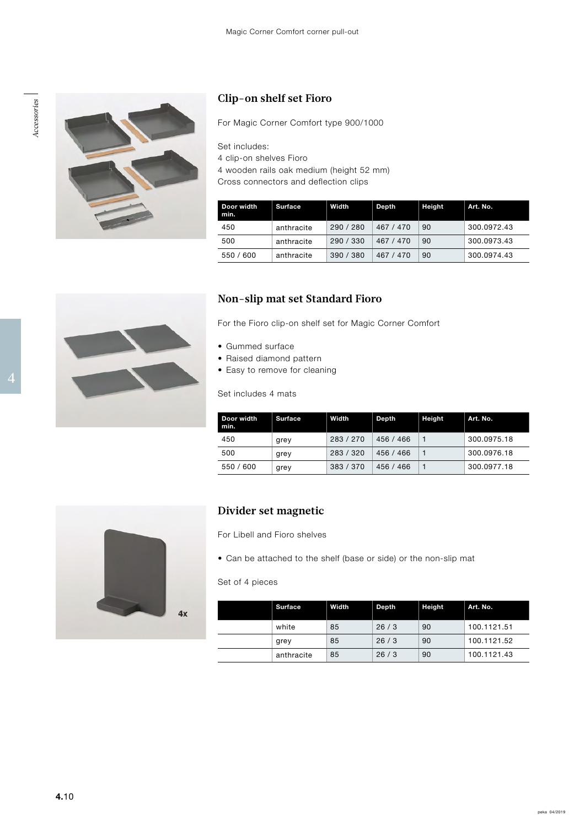



## **Clip-on shelf set Fioro**

For Magic Corner Comfort type 900/1000

Set includes:

4 clip-on shelves Fioro

4 wooden rails oak medium (height 52 mm)

Cross connectors and deflection clips

| Door width<br>min. | <b>Surface</b> | Width     | Depth     | <b>Height</b> | Art. No.    |
|--------------------|----------------|-----------|-----------|---------------|-------------|
| 450                | anthracite     | 290/280   | 467 / 470 | 90            | 300.0972.43 |
| 500                | anthracite     | 290 / 330 | 467 / 470 | 90            | 300.0973.43 |
| 550 / 600          | anthracite     | 390 / 380 | 467 / 470 | 90            | 300.0974.43 |

#### **Non-slip mat set Standard Fioro**

For the Fioro clip-on shelf set for Magic Corner Comfort

- Gummed surface
- Raised diamond pattern
- 4 and the contract of the contract of the contract of the contract of the contract of the contract of the contract of the contract of the contract of the contract of the contract of the contract of the contract of the cont • Easy to remove for cleaning

Set includes 4 mats

| Door width<br>min. | <b>Surface</b> | Width     | Depth     | <b>Height</b> | Art. No.    |
|--------------------|----------------|-----------|-----------|---------------|-------------|
| 450                | grey           | 283/270   | 456 / 466 |               | 300.0975.18 |
| 500                | grey           | 283 / 320 | 456 / 466 |               | 300.0976.18 |
| 550 / 600          | grey           | 383 / 370 | 456 / 466 |               | 300.0977.18 |



#### **Divider set magnetic**

For Libell and Fioro shelves

• Can be attached to the shelf (base or side) or the non-slip mat

#### Set of 4 pieces

| <b>Surface</b> | Width | Depth | <b>Height</b> | Art. No.    |
|----------------|-------|-------|---------------|-------------|
| white          | 85    | 26/3  | 90            | 100.1121.51 |
| grey           | 85    | 26/3  | 90            | 100.1121.52 |
| anthracite     | 85    | 26/3  | 90            | 100.1121.43 |